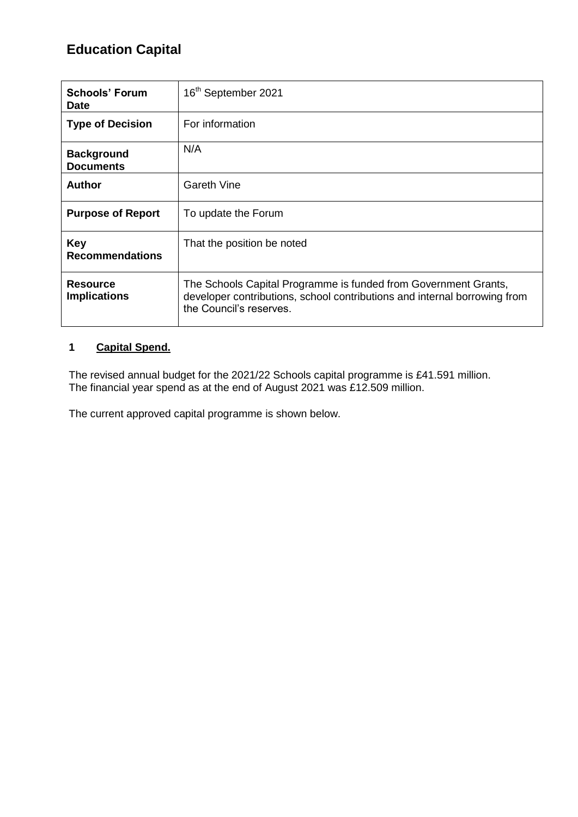# **Education Capital**

| <b>Schools' Forum</b><br><b>Date</b>   | 16 <sup>th</sup> September 2021                                                                                                                                         |
|----------------------------------------|-------------------------------------------------------------------------------------------------------------------------------------------------------------------------|
| <b>Type of Decision</b>                | For information                                                                                                                                                         |
| <b>Background</b><br><b>Documents</b>  | N/A                                                                                                                                                                     |
| Author                                 | <b>Gareth Vine</b>                                                                                                                                                      |
| <b>Purpose of Report</b>               | To update the Forum                                                                                                                                                     |
| <b>Key</b><br><b>Recommendations</b>   | That the position be noted                                                                                                                                              |
| <b>Resource</b><br><b>Implications</b> | The Schools Capital Programme is funded from Government Grants,<br>developer contributions, school contributions and internal borrowing from<br>the Council's reserves. |

#### **1 Capital Spend.**

The revised annual budget for the 2021/22 Schools capital programme is £41.591 million. The financial year spend as at the end of August 2021 was £12.509 million.

The current approved capital programme is shown below.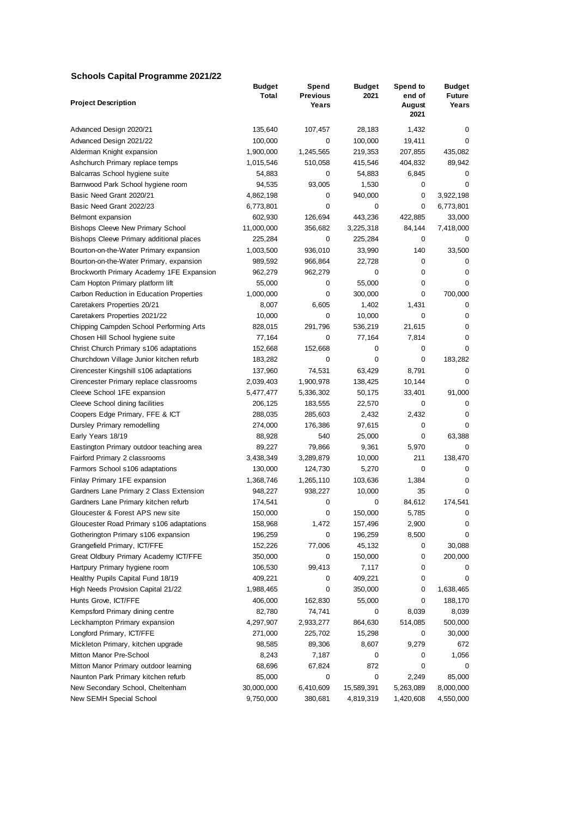#### **Schools Capital Programme 2021/22**

|                                          | <b>Budget</b> | Spend           | <b>Budget</b> | Spend to       | <b>Budget</b>  |
|------------------------------------------|---------------|-----------------|---------------|----------------|----------------|
| <b>Project Description</b>               | Total         | <b>Previous</b> | 2021          | end of         | <b>Future</b>  |
|                                          |               | Years           |               | August<br>2021 | Years          |
| Advanced Design 2020/21                  | 135,640       | 107,457         | 28,183        | 1,432          | 0              |
| Advanced Design 2021/22                  | 100,000       | 0               | 100,000       | 19,411         | 0              |
| Alderman Knight expansion                | 1,900,000     | 1,245,565       | 219,353       | 207,855        | 435,082        |
| Ashchurch Primary replace temps          | 1,015,546     | 510,058         | 415,546       | 404,832        | 89,942         |
| Balcarras School hygiene suite           | 54,883        | 0               | 54,883        | 6,845          | 0              |
| Barnwood Park School hygiene room        | 94,535        | 93,005          | 1,530         | 0              | 0              |
| Basic Need Grant 2020/21                 | 4,862,198     | 0               | 940,000       | 0              | 3,922,198      |
| Basic Need Grant 2022/23                 | 6,773,801     | 0               | 0             | 0              | 6,773,801      |
| Belmont expansion                        | 602,930       | 126,694         | 443,236       | 422,885        | 33,000         |
|                                          |               |                 |               |                |                |
| <b>Bishops Cleeve New Primary School</b> | 11,000,000    | 356,682<br>0    | 3,225,318     | 84,144<br>0    | 7,418,000<br>0 |
| Bishops Cleeve Primary additional places | 225,284       | 936,010         | 225,284       | 140            | 33,500         |
| Bourton-on-the-Water Primary expansion   | 1,003,500     |                 | 33,990        |                |                |
| Bourton-on-the-Water Primary, expansion  | 989,592       | 966,864         | 22,728        | 0              | 0              |
| Brockworth Primary Academy 1FE Expansion | 962,279       | 962,279         | 0             | 0              | 0              |
| Cam Hopton Primary platform lift         | 55,000        | 0               | 55,000        | 0              | 0              |
| Carbon Reduction in Education Properties | 1,000,000     | 0               | 300,000       | 0              | 700,000        |
| Caretakers Properties 20/21              | 8,007         | 6,605           | 1,402         | 1,431          | 0              |
| Caretakers Properties 2021/22            | 10,000        | 0               | 10,000        | 0              | 0              |
| Chipping Campden School Performing Arts  | 828,015       | 291,796         | 536,219       | 21,615         | 0              |
| Chosen Hill School hygiene suite         | 77,164        | 0               | 77,164        | 7,814          | 0              |
| Christ Church Primary s106 adaptations   | 152,668       | 152,668         | 0             | 0              | $\mathbf 0$    |
| Churchdown Village Junior kitchen refurb | 183,282       | 0               | 0             | 0              | 183,282        |
| Cirencester Kingshill s106 adaptations   | 137,960       | 74,531          | 63,429        | 8,791          | 0              |
| Cirencester Primary replace classrooms   | 2,039,403     | 1,900,978       | 138,425       | 10,144         | 0              |
| Cleeve School 1FE expansion              | 5,477,477     | 5,336,302       | 50,175        | 33,401         | 91,000         |
| Cleeve School dining facilities          | 206,125       | 183,555         | 22,570        | 0              | 0              |
| Coopers Edge Primary, FFE & ICT          | 288,035       | 285,603         | 2,432         | 2,432          | 0              |
| Dursley Primary remodelling              | 274,000       | 176,386         | 97,615        | 0              | $\Omega$       |
| Early Years 18/19                        | 88,928        | 540             | 25,000        | 0              | 63,388         |
| Eastington Primary outdoor teaching area | 89,227        | 79,866          | 9,361         | 5,970          | 0              |
| Fairford Primary 2 classrooms            | 3,438,349     | 3,289,879       | 10,000        | 211            | 138,470        |
| Farmors School s106 adaptations          | 130,000       | 124,730         | 5,270         | 0              | 0              |
| Finlay Primary 1FE expansion             | 1,368,746     | 1,265,110       | 103,636       | 1,384          | 0              |
| Gardners Lane Primary 2 Class Extension  | 948,227       | 938,227         | 10,000        | 35             | 0              |
| Gardners Lane Primary kitchen refurb     | 174,541       | 0               | 0             | 84,612         | 174,541        |
| Gloucester & Forest APS new site         | 150,000       | 0               | 150,000       | 5,785          | 0              |
| Gloucester Road Primary s106 adaptations | 158,968       | 1,472           | 157,496       | 2,900          | 0              |
| Gotherington Primary s106 expansion      | 196,259       | 0               | 196,259       | 8,500          | 0              |
| Grangefield Primary, ICT/FFE             | 152,226       | 77,006          | 45,132        | 0              | 30,088         |
| Great Oldbury Primary Academy ICT/FFE    | 350,000       | 0               | 150,000       | 0              | 200,000        |
| Hartpury Primary hygiene room            | 106,530       | 99,413          | 7,117         | 0              | 0              |
| Healthy Pupils Capital Fund 18/19        | 409,221       | 0               | 409,221       | 0              | 0              |
| High Needs Provision Capital 21/22       | 1,988,465     | 0               | 350,000       | 0              | 1,638,465      |
| Hunts Grove, ICT/FFE                     | 406,000       | 162,830         | 55,000        | 0              | 188,170        |
| Kempsford Primary dining centre          | 82,780        | 74,741          | 0             | 8,039          | 8,039          |
| Leckhampton Primary expansion            | 4,297,907     | 2,933,277       | 864,630       | 514,085        | 500,000        |
| Longford Primary, ICT/FFE                | 271,000       | 225,702         | 15,298        | 0              | 30,000         |
| Mickleton Primary, kitchen upgrade       | 98,585        | 89,306          | 8,607         | 9,279          | 672            |
| Mitton Manor Pre-School                  | 8,243         | 7,187           | 0             | 0              | 1,056          |
| Mitton Manor Primary outdoor learning    | 68,696        | 67,824          | 872           | 0              | 0              |
| Naunton Park Primary kitchen refurb      | 85,000        | 0               | 0             | 2,249          | 85,000         |
| New Secondary School, Cheltenham         | 30,000,000    | 6,410,609       | 15,589,391    | 5,263,089      | 8,000,000      |
| New SEMH Special School                  | 9,750,000     | 380,681         | 4,819,319     | 1,420,608      | 4,550,000      |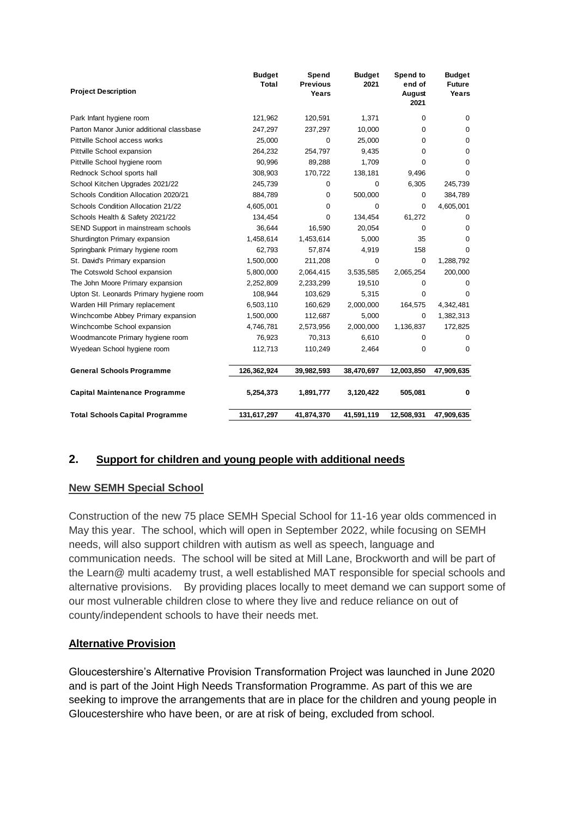| <b>Project Description</b>               | <b>Budget</b><br><b>Total</b> | Spend<br><b>Previous</b><br>Years | <b>Budget</b><br>2021 | Spend to<br>end of<br>August<br>2021 | <b>Budget</b><br><b>Future</b><br>Years |
|------------------------------------------|-------------------------------|-----------------------------------|-----------------------|--------------------------------------|-----------------------------------------|
| Park Infant hygiene room                 | 121,962                       | 120,591                           | 1,371                 | $\Omega$                             | $\Omega$                                |
| Parton Manor Junior additional classbase | 247,297                       | 237,297                           | 10,000                | $\Omega$                             | 0                                       |
| Pittville School access works            | 25,000                        | $\mathbf 0$                       | 25,000                | $\Omega$                             | 0                                       |
| Pittville School expansion               | 264,232                       | 254.797                           | 9,435                 | $\Omega$                             | $\Omega$                                |
| Pittville School hygiene room            | 90,996                        | 89,288                            | 1,709                 | 0                                    | $\Omega$                                |
| Rednock School sports hall               | 308,903                       | 170,722                           | 138,181               | 9,496                                | 0                                       |
| School Kitchen Upgrades 2021/22          | 245,739                       | 0                                 | 0                     | 6,305                                | 245,739                                 |
| Schools Condition Allocation 2020/21     | 884,789                       | 0                                 | 500,000               | 0                                    | 384,789                                 |
| Schools Condition Allocation 21/22       | 4,605,001                     | 0                                 | 0                     | $\Omega$                             | 4,605,001                               |
| Schools Health & Safety 2021/22          | 134,454                       | 0                                 | 134,454               | 61,272                               | $\Omega$                                |
| SEND Support in mainstream schools       | 36,644                        | 16,590                            | 20,054                | 0                                    | $\Omega$                                |
| Shurdington Primary expansion            | 1,458,614                     | 1,453,614                         | 5,000                 | 35                                   | $\Omega$                                |
| Springbank Primary hygiene room          | 62,793                        | 57,874                            | 4,919                 | 158                                  | $\Omega$                                |
| St. David's Primary expansion            | 1,500,000                     | 211,208                           | $\mathbf 0$           | 0                                    | 1,288,792                               |
| The Cotswold School expansion            | 5,800,000                     | 2,064,415                         | 3,535,585             | 2,065,254                            | 200,000                                 |
| The John Moore Primary expansion         | 2,252,809                     | 2,233,299                         | 19,510                | 0                                    | 0                                       |
| Upton St. Leonards Primary hygiene room  | 108,944                       | 103,629                           | 5,315                 | 0                                    | $\Omega$                                |
| Warden Hill Primary replacement          | 6,503,110                     | 160,629                           | 2,000,000             | 164,575                              | 4,342,481                               |
| Winchcombe Abbey Primary expansion       | 1,500,000                     | 112,687                           | 5,000                 | 0                                    | 1,382,313                               |
| Winchcombe School expansion              | 4,746,781                     | 2,573,956                         | 2,000,000             | 1,136,837                            | 172,825                                 |
| Woodmancote Primary hygiene room         | 76,923                        | 70,313                            | 6,610                 | 0                                    | $\Omega$                                |
| Wyedean School hygiene room              | 112,713                       | 110,249                           | 2,464                 | 0                                    | 0                                       |
| <b>General Schools Programme</b>         | 126,362,924                   | 39,982,593                        | 38,470,697            | 12,003,850                           | 47,909,635                              |
| <b>Capital Maintenance Programme</b>     | 5,254,373                     | 1,891,777                         | 3,120,422             | 505,081                              | 0                                       |
| <b>Total Schools Capital Programme</b>   | 131,617,297                   | 41,874,370                        | 41,591,119            | 12,508,931                           | 47,909,635                              |

#### **2. Support for children and young people with additional needs**

#### **New SEMH Special School**

Construction of the new 75 place SEMH Special School for 11-16 year olds commenced in May this year. The school, which will open in September 2022, while focusing on SEMH needs, will also support children with autism as well as speech, language and communication needs. The school will be sited at Mill Lane, Brockworth and will be part of the Learn@ multi academy trust, a well established MAT responsible for special schools and alternative provisions. By providing places locally to meet demand we can support some of our most vulnerable children close to where they live and reduce reliance on out of county/independent schools to have their needs met.

#### **Alternative Provision**

Gloucestershire's Alternative Provision Transformation Project was launched in June 2020 and is part of the Joint High Needs Transformation Programme. As part of this we are seeking to improve the arrangements that are in place for the children and young people in Gloucestershire who have been, or are at risk of being, excluded from school.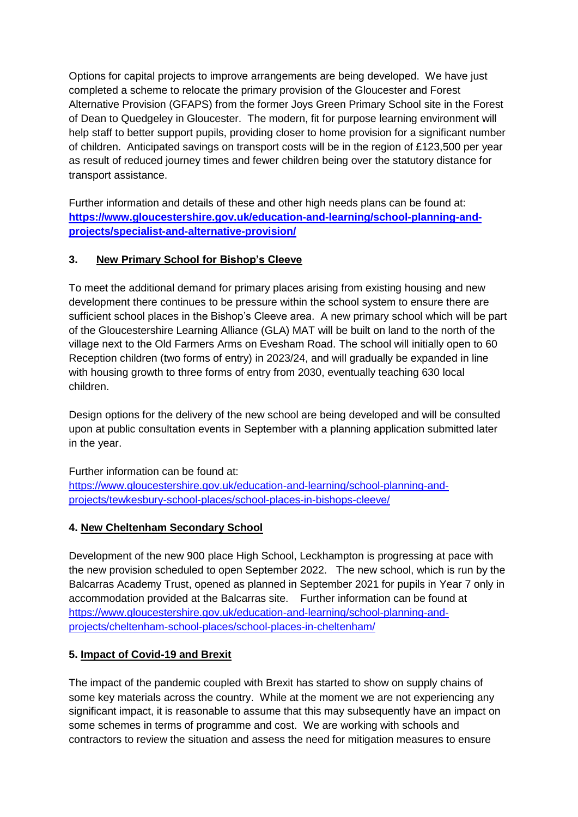Options for capital projects to improve arrangements are being developed. We have just completed a scheme to relocate the primary provision of the Gloucester and Forest Alternative Provision (GFAPS) from the former Joys Green Primary School site in the Forest of Dean to Quedgeley in Gloucester. The modern, fit for purpose learning environment will help staff to better support pupils, providing closer to home provision for a significant number of children. Anticipated savings on transport costs will be in the region of £123,500 per year as result of reduced journey times and fewer children being over the statutory distance for transport assistance.

Further information and details of these and other high needs plans can be found at: **[https://www.gloucestershire.gov.uk/education-and-learning/school-planning-and](https://www.gloucestershire.gov.uk/education-and-learning/school-planning-and-projects/specialist-and-alternative-provision/)[projects/specialist-and-alternative-provision/](https://www.gloucestershire.gov.uk/education-and-learning/school-planning-and-projects/specialist-and-alternative-provision/)**

#### **3. New Primary School for Bishop's Cleeve**

To meet the additional demand for primary places arising from existing housing and new development there continues to be pressure within the school system to ensure there are sufficient school places in the Bishop's Cleeve area. A new primary school which will be part of the Gloucestershire Learning Alliance (GLA) MAT will be built on land to the north of the village next to the Old Farmers Arms on Evesham Road. The school will initially open to 60 Reception children (two forms of entry) in 2023/24, and will gradually be expanded in line with housing growth to three forms of entry from 2030, eventually teaching 630 local children.

Design options for the delivery of the new school are being developed and will be consulted upon at public consultation events in September with a planning application submitted later in the year.

Further information can be found at: [https://www.gloucestershire.gov.uk/education-and-learning/school-planning-and](https://www.gloucestershire.gov.uk/education-and-learning/school-planning-and-projects/tewkesbury-school-places/school-places-in-bishops-cleeve/)[projects/tewkesbury-school-places/school-places-in-bishops-cleeve/](https://www.gloucestershire.gov.uk/education-and-learning/school-planning-and-projects/tewkesbury-school-places/school-places-in-bishops-cleeve/)

#### **4. New Cheltenham Secondary School**

Development of the new 900 place High School, Leckhampton is progressing at pace with the new provision scheduled to open September 2022. The new school, which is run by the Balcarras Academy Trust, opened as planned in September 2021 for pupils in Year 7 only in accommodation provided at the Balcarras site. Further information can be found at [https://www.gloucestershire.gov.uk/education-and-learning/school-planning-and](https://www.gloucestershire.gov.uk/education-and-learning/school-planning-and-projects/cheltenham-school-places/school-places-in-cheltenham/)[projects/cheltenham-school-places/school-places-in-cheltenham/](https://www.gloucestershire.gov.uk/education-and-learning/school-planning-and-projects/cheltenham-school-places/school-places-in-cheltenham/)

## **5. Impact of Covid-19 and Brexit**

The impact of the pandemic coupled with Brexit has started to show on supply chains of some key materials across the country. While at the moment we are not experiencing any significant impact, it is reasonable to assume that this may subsequently have an impact on some schemes in terms of programme and cost. We are working with schools and contractors to review the situation and assess the need for mitigation measures to ensure